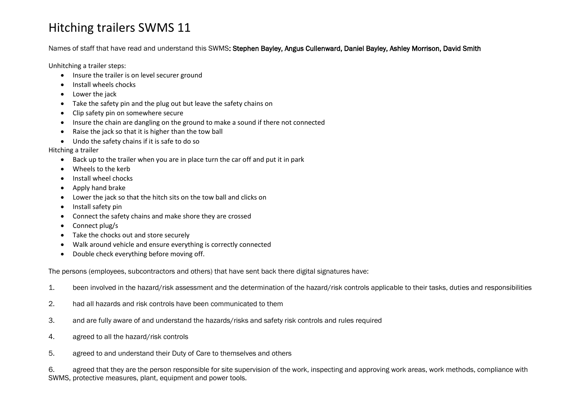## Hitching trailers SWMS 11

Names of staff that have read and understand this SWMS: Stephen Bayley, Angus Cullenward, Daniel Bayley, Ashley Morrison, David Smith

Unhitching a trailer steps:

- Insure the trailer is on level securer ground
- Install wheels chocks
- Lower the jack
- Take the safety pin and the plug out but leave the safety chains on
- Clip safety pin on somewhere secure
- Insure the chain are dangling on the ground to make a sound if there not connected
- Raise the jack so that it is higher than the tow ball
- Undo the safety chains if it is safe to do so

Hitching a trailer

- Back up to the trailer when you are in place turn the car off and put it in park
- Wheels to the kerb
- Install wheel chocks
- Apply hand brake
- Lower the jack so that the hitch sits on the tow ball and clicks on
- Install safety pin
- Connect the safety chains and make shore they are crossed
- Connect plug/s
- Take the chocks out and store securely
- Walk around vehicle and ensure everything is correctly connected
- Double check everything before moving off.

The persons (employees, subcontractors and others) that have sent back there digital signatures have:

- 1. been involved in the hazard/risk assessment and the determination of the hazard/risk controls applicable to their tasks, duties and responsibilities
- 2. had all hazards and risk controls have been communicated to them
- 3. and are fully aware of and understand the hazards/risks and safety risk controls and rules required
- 4. agreed to all the hazard/risk controls
- 5. agreed to and understand their Duty of Care to themselves and others

6. agreed that they are the person responsible for site supervision of the work, inspecting and approving work areas, work methods, compliance with SWMS, protective measures, plant, equipment and power tools.